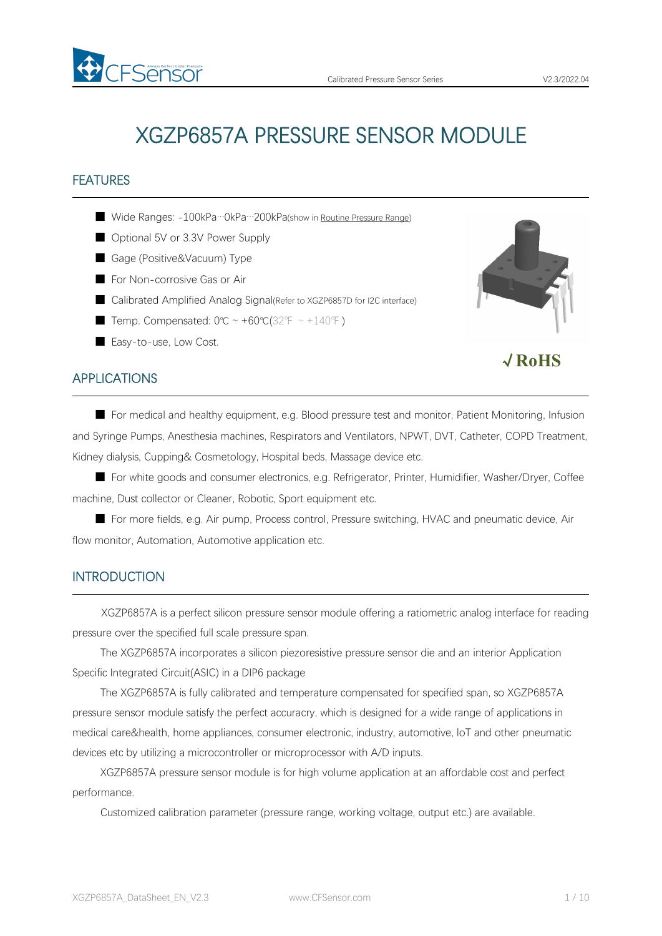

√**RoHS**

# XGZP6857A PRESSURE SENSOR MODULE

## FEATURES

- Wide Ranges: -100kPa…0kPa…200kPa(show in Routine [Pressure](#page-4-0) Range)
- Optional 5V or 3.3V Power Supply
- Gage (Positive&Vacuum) Type
- For Non-corrosive Gas or Air
- Calibrated Amplified Analog Signal(Refer to XGZP6857D for I2C interface)
- Temp. Compensated:  $0^{\circ}C \sim +60^{\circ}C(32^{\circ}F \sim +140^{\circ}F)$
- Easy-to-use, Low Cost.

## APPLICATIONS

■ For medical and healthy equipment, e.g. Blood pressure test and monitor, Patient Monitoring, Infusion and Syringe Pumps, Anesthesia machines, Respirators and Ventilators, NPWT, DVT, Catheter, COPD Treatment, Kidney dialysis, Cupping& Cosmetology, Hospital beds, Massage device etc.

■ For white goods and consumer electronics, e.g. Refrigerator, Printer, Humidifier, Washer/Dryer, Coffee machine, Dust collector or Cleaner, Robotic, Sport equipment etc.

■ For more fields, e.g. Air pump, Process control, Pressure switching, HVAC and pneumatic device, Air flow monitor, Automation, Automotive application etc.

### **INTRODUCTION**

XGZP6857A is a perfect silicon pressure sensor module offering a ratiometric analog interface for reading pressure over the specified full scale pressure span.

The XGZP6857A incorporates a silicon piezoresistive pressure sensor die and an interior Application Specific Integrated Circuit(ASIC) in a DIP6 package

The XGZP6857A is fully calibrated and temperature compensated for specified span, so XGZP6857A pressure sensor module satisfy the perfect accuracry, which is designed for a wide range of applications in medical care&health, home appliances, consumer electronic, industry, automotive, loT and other pneumatic devices etc by utilizing a microcontroller or microprocessor with A/D inputs.

XGZP6857A pressure sensor module is for high volume application at an affordable cost and perfect performance.

Customized calibration parameter (pressure range, working voltage, output etc.) are available.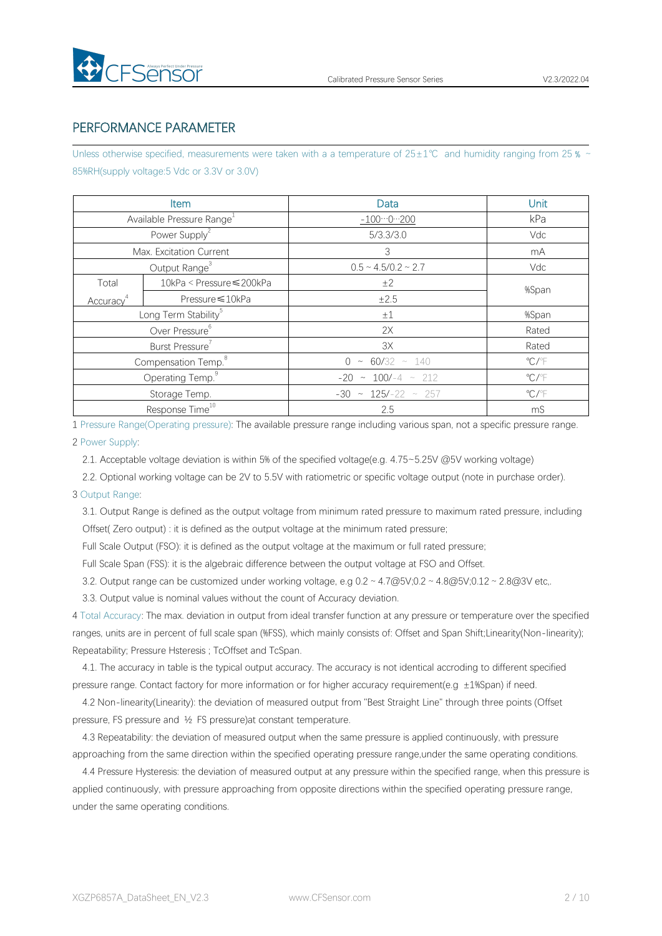

## PERFORMANCE PARAMETER

Unless otherwise specified, measurements were taken with a a temperature of 25±1℃ and humidity ranging from 25 % ~ 85%RH(supply voltage:5 Vdc or 3.3V or 3.0V)

|                       | Item                                  | Data                        | Unit                       |
|-----------------------|---------------------------------------|-----------------------------|----------------------------|
|                       | Available Pressure Range <sup>1</sup> | $-1000200$                  | kPa                        |
|                       | Power Supply <sup>2</sup>             | 5/3.3/3.0                   | Vdc                        |
|                       | Max. Excitation Current               | 3                           | mA                         |
|                       | Output Range <sup>3</sup>             | $0.5 \sim 4.5/0.2 \sim 2.7$ | Vdc                        |
| Total                 | 10kPa < Pressure ≤ 200kPa             | ±2                          | %Span                      |
| Accuracy <sup>4</sup> | Pressure ≤10kPa                       | ±2.5                        |                            |
|                       | Long Term Stability <sup>5</sup>      | ±1                          | %Span                      |
|                       | Over Pressure <sup>6</sup>            | 2X                          | Rated                      |
|                       | Burst Pressure <sup>7</sup>           | 3X                          | Rated                      |
|                       | Compensation Temp. <sup>8</sup>       | $0 \sim 60/32 \sim 140$     | $^{\circ}$ C/ $^{\circ}$ F |
|                       | Operating Temp. <sup>9</sup>          | $-20 \sim 100/-4 \sim 212$  | $\mathrm{C}/\mathrm{F}$    |
|                       | Storage Temp.                         | $-30 \sim 125/-22 \sim 257$ | $\mathrm{C}/\mathrm{F}$    |
|                       | Response Time <sup>10</sup>           | 2.5                         | mS                         |

1 Pressure Range(Operating pressure): The available pressure range including variousspan, not a specific pressure range.

#### 2 Power Supply:

2.1. Acceptable voltage deviation is within 5% of the specified voltage(e.g. 4.75~5.25V @5V working voltage)

2.2. Optional working voltage can be 2V to 5.5V with ratiometric or specific voltage output (note in purchase order).

### 3 Output Range:

3.1. Output Range is defined as the output voltage from minimum rated pressure to maximum rated pressure, including Offset( Zero output) : it is defined as the output voltage at the minimum rated pressure;

Full Scale Output (FSO): it is defined as the output voltage at the maximum or full rated pressure;

Full Scale Span (FSS): it is the algebraic difference between the output voltage at FSO and Offset.

3.2. Output range can be customized under working voltage, e.g  $0.2 \sim 4.7 \text{ @V}$ ;0.2 ~  $4.8 \text{ @V}$ ;0.12 ~ 2.8 $\text{ @3V}$  etc,.

3.3. Output value is nominal values without the count of Accuracy deviation.

4 Total Accuracy: The max. deviation in output from ideal transfer function at any pressure or temperature over the specified ranges, units are in percent of full scale span (%FSS), which mainly consists of: Offset and Span Shift; Linearity(Non-linearity); Repeatability; Pressure Hsteresis ; TcOffset and TcSpan.

4.1. The accuracy in table is the typical output accuracy. The accuracy is notidentical accroding to different specified pressure range. Contact factory for more information or for higher accuracy requirement(e.g ±1%Span) if need.

4.2 Non-linearity(Linearity): the deviation of measured output from "Best Straight Line" through three points (Offset pressure, FS pressure and ½ FS pressure)at constant temperature.

4.3 Repeatability: the deviation of measured output when the same pressure is applied continuously, with pressure approaching from the same direction within the specified operating pressure range,under the same operating conditions.

4.4 Pressure Hysteresis: the deviation of measured output at any pressure within the specified range, when this pressure is applied continuously, with pressure approaching from opposite directions within the specified operating pressure range, under the same operating conditions.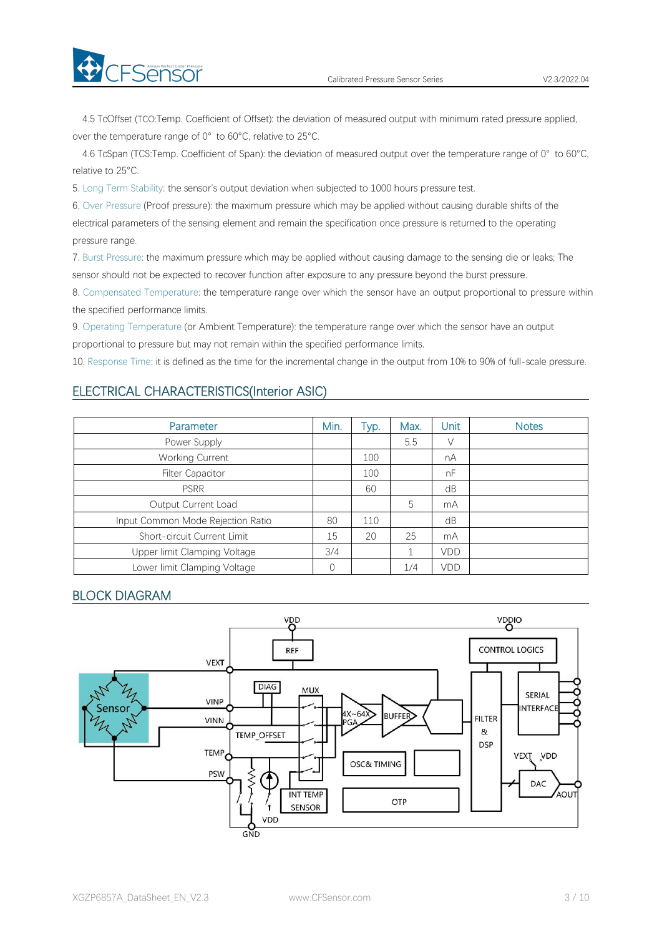

4.5 TcOffset (TCO:Temp. Coefficient of Offset): the deviation of measured output with minimum rated pressure applied, over the temperature range of 0° to 60°C, relative to 25°C.

4.6 TcSpan (TCS:Temp. Coefficient of Span): the deviation of measured output over the temperature range of 0° to 60°C, relative to 25°C.

5. Long Term Stability: the sensor's output deviation when subjected to 1000 hours pressure test.

6. Over Pressure (Proof pressure): the maximum pressure which may be applied without causing durable shifts of the electrical parameters of the sensing element and remain the specification once pressure is returned to the operating pressure range.

7. Burst Pressure: the maximum pressure which may be applied without causing damage to the sensing die or leaks; The sensor should not be expected to recover function after exposure to any pressure beyond the burst pressure.

8. Compensated Temperature: the temperature range over which the sensor have an output proportional to pressure within the specified performance limits.

9. Operating Temperature (or Ambient Temperature): the temperature range over which the sensor have an output proportional to pressure but may not remain within the specified performance limits.

10. Response Time: it is defined as the time for the incremental change in the output from 10% to 90% of full-scale pressure.

## ELECTRICAL CHARACTERISTICS(Interior ASIC)

| Parameter                         | Min. | Typ. | Max. | Unit       | <b>Notes</b> |
|-----------------------------------|------|------|------|------------|--------------|
| Power Supply                      |      |      | 5.5  | V          |              |
| Working Current                   |      | 100  |      | nA         |              |
| <b>Filter Capacitor</b>           |      | 100  |      | nF         |              |
| <b>PSRR</b>                       |      | 60   |      | dB         |              |
| Output Current Load               |      |      | 5    | mA         |              |
| Input Common Mode Rejection Ratio | 80   | 110  |      | dB         |              |
| Short-circuit Current Limit       | 15   | 20   | 25   | mA         |              |
| Upper limit Clamping Voltage      | 3/4  |      |      | <b>VDD</b> |              |
| Lower limit Clamping Voltage      |      |      | 1/4  | VDD        |              |

## BLOCK DIAGRAM

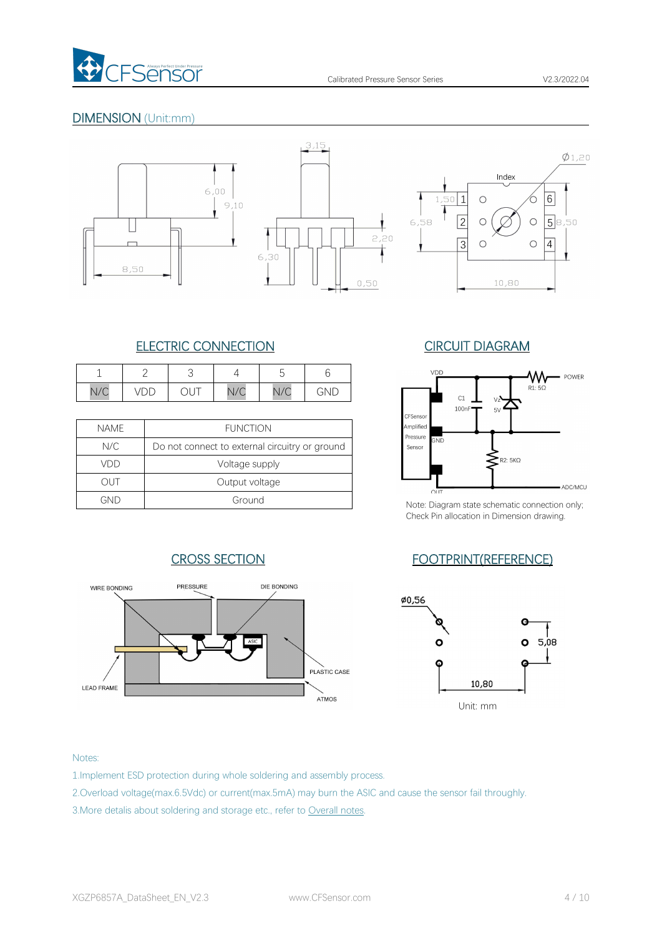

## DIMENSION (Unit:mm)







## ELECTRIC CONNECTION CIRCUIT DIAGRAM

|            |        |                                        |                  | -<br>∽                             |                  | VDD |
|------------|--------|----------------------------------------|------------------|------------------------------------|------------------|-----|
| 110<br>N/C | ◡<br>້ | $\sim$<br>$\checkmark$<br>$\checkmark$ | N1/C<br>$V \cup$ | $\overline{\phantom{a}}$<br>V<br>◡ | $\cap$ Nii.<br>◝ |     |

| <b>NAME</b> | <b>FUNCTION</b>                                | Amplified<br>Pressure |      |
|-------------|------------------------------------------------|-----------------------|------|
| N/C         | Do not connect to external circuitry or ground | Sensor                | GND  |
| VDD         | Voltage supply                                 |                       |      |
| out         | Output voltage                                 |                       |      |
| GND         | Ground                                         | Note: Diagra          | OLIT |



Note: Diagram state schematic connection only; Check Pin allocation in Dimension drawing.

## CROSS SECTION FOOTPRINT(REFERENCE)





#### Notes:

- 1.Implement ESD protection during whole soldering and assembly process.
- 2.Overload voltage(max.6.5Vdc) or current(max.5mA) may burn the ASIC and cause the sensor fail throughly.
- 3.More detalis about soldering and storage etc., refer to Overall notes.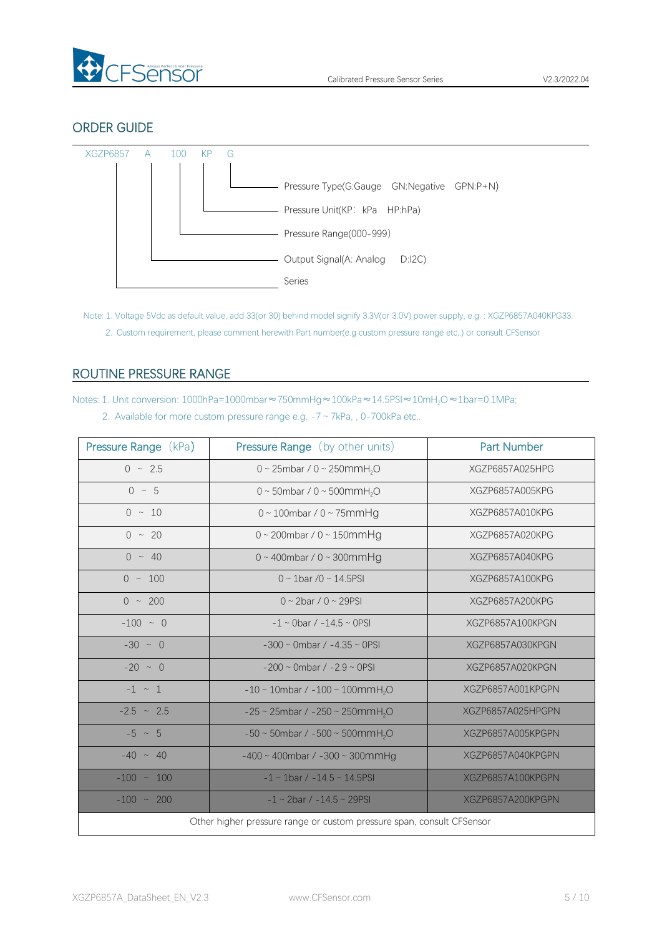

## ORDER GUIDE



Note: 1. Voltage 5Vdc as default value, add 33(or 30) behind model signify 3.3V(or 3.0V) power supply, e.g. : XGZP6857A040KPG33. 2. Custom requirement, please comment herewith Part number(e.g custom pressure range etc,.) or consult CFSensor

## <span id="page-4-0"></span>ROUTINE PRESSURE RANGE

Notes: 1. Unit conversion: 1000hPa=1000mbar≈750mmHg≈100kPa≈14.5PSI≈10mH<sub>2</sub>O≈1bar=0.1MPa;

|  |  |  | 2. Available for more custom pressure range e.g. $-7 \sim 7kPa$ , , 0-700kPa etc. |  |
|--|--|--|-----------------------------------------------------------------------------------|--|
|--|--|--|-----------------------------------------------------------------------------------|--|

| Pressure Range (kPa) | <b>Pressure Range</b> (by other units)                                | <b>Part Number</b> |
|----------------------|-----------------------------------------------------------------------|--------------------|
| $0 \sim 2.5$         | 0 ~ 25mbar / 0 ~ 250mmH <sub>2</sub> O                                | XGZP6857A025HPG    |
| $0 \sim 5$           | 0 ~ 50mbar / 0 ~ 500mmH <sub>2</sub> O                                | XGZP6857A005KPG    |
| $0 \sim 10$          | $0 \sim 100$ mbar / $0 \sim 75$ mmHg                                  | XGZP6857A010KPG    |
| $0 \sim 20$          | $0 \sim 200$ mbar / $0 \sim 150$ mmHg                                 | XGZP6857A020KPG    |
| $0 \sim 40$          | $0 \sim 400$ mbar / $0 \sim 300$ mmHg                                 | XGZP6857A040KPG    |
| $0 \sim 100$         | $0 \sim 1$ bar /0 ~ 14.5PSI                                           | XGZP6857A100KPG    |
| $0 \sim 200$         | $0 \sim 2$ bar / $0 \sim 29$ PSI                                      | XGZP6857A200KPG    |
| $-100 ~ \sim ~ 0$    | $-1 \sim$ 0bar / $-14.5 \sim$ 0PSI                                    | XGZP6857A100KPGN   |
| $-30 \sim 0$         | $-300 \sim$ 0mbar / $-4.35 \sim$ 0PSI                                 | XGZP6857A030KPGN   |
| $-20 \sim 0$         | $-200 \sim$ 0mbar / $-2.9 \sim$ 0PSI                                  | XGZP6857A020KPGN   |
| $-1$ $\sim$ 1        | $-10 \sim 10$ mbar / $-100 \sim 100$ mmH <sub>2</sub> O               | XGZP6857A001KPGPN  |
| $-2.5$ ~ 2.5         | $-25 \sim 25$ mbar / $-250 \sim 250$ mmH <sub>2</sub> O               | XGZP6857A025HPGPN  |
| $-5 \sim 5$          | $-50 \sim 50$ mbar / $-500 \sim 500$ mmH <sub>2</sub> O               | XGZP6857A005KPGPN  |
| $-40 \sim 40$        | $-400 \sim 400$ mbar / $-300 \sim 300$ mmHg                           | XGZP6857A040KPGPN  |
| $-100 \sim 100$      | $-1 \sim 1$ bar / $-14.5 \sim 14.5$ PSI                               | XGZP6857A100KPGPN  |
| $-100 \sim 200$      | $-1 \sim 2$ bar / $-14.5 \sim 29$ PSI                                 | XGZP6857A200KPGPN  |
|                      | Other higher pressure range or custom pressure span, consult CFSensor |                    |
|                      |                                                                       |                    |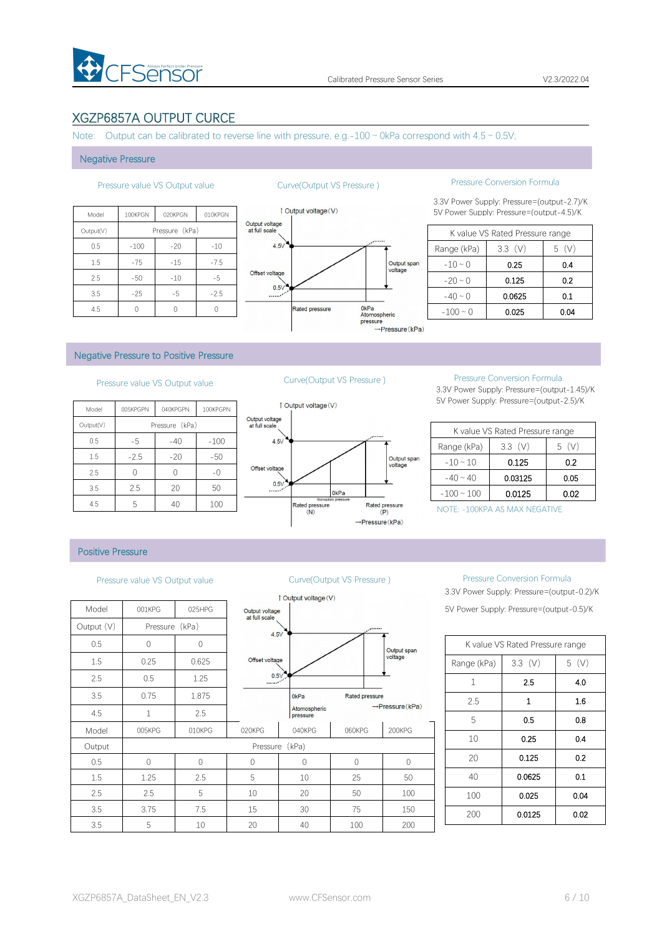

## XGZP6857A OUTPUT CURCE

Note: Output can be calibrated to reverse line with pressure, e.g.-100  $\sim$  0kPa correspond with 4.5  $\sim$  0.5V;

#### Negative Pressure

| <b>Ou</b>                       | 010KPGN | 020KPGN        | 100KPGN | Model     |
|---------------------------------|---------|----------------|---------|-----------|
| Output voltage<br>at full scale |         | Pressure (kPa) |         | Output(V) |
| 4.5V                            | $-10$   | $-20$          | $-100$  | 0.5       |
|                                 | $-7.5$  | $-15$          | $-75$   | 1.5       |
| Offset voltage                  | $-5$    | $-10$          | $-50$   | 2.5       |
| 0.5V<br>$\ldots$                | $-2.5$  | $-5$           | $-25$   | 3.5       |
|                                 |         |                |         | 4.5       |



## Pressure value VS Output value Curve(Output VS Pressure ) Pressure Conversion Formula

3.3V Power Supply: Pressure=(output-2.7)/K 100the 100the 100KPGN 010KPGN 010KPGN 010KPGN 010KPGN 010KPGN 010KPGN 010KPGN 010KPGN 010KPGN 010KPGN 010KPGN 0

|               | K value VS Rated Pressure range |       |
|---------------|---------------------------------|-------|
| Range (kPa)   | 3.3(V)                          | 5 (V) |
| $-10 \sim 0$  | 025                             | 0.4   |
| $-20 \sim 0$  | 0.125                           | 0.2   |
| $-40 \sim 0$  | 0.0625                          | 0.1   |
| $-100 \sim 0$ | 0.025                           | 0.04  |

#### Negative Pressure to Positive Pressure

## Pressure value VS Output value Curve(Output VS Pressure ) Pressure Conversion Formula

| 1 Output vo     |                                 | 100KPGPN | 040KPGPN       | 005KPGPN | Model     |
|-----------------|---------------------------------|----------|----------------|----------|-----------|
|                 | Output voltage<br>at full scale |          | Pressure (kPa) |          | Output(V) |
|                 | 4.5V                            | $-100$   | $-40$          | -5       | 0.5       |
|                 |                                 | $-50$    | $-20$          | $-2.5$   | 1.5       |
|                 | Offset voltage                  | $-()$    |                |          | 2.5       |
|                 | 0.5V                            | 50       | 20             | 2.5      | 3.5       |
| Rated pr<br>(N) |                                 | 100      | 40             | 5        | 4.5       |



3.3V Power Supply: Pressure=(output-1.45)/K 5V Power Supply: Pressure=(output-2.5)/K

|                 | K value VS Rated Pressure range |          |
|-----------------|---------------------------------|----------|
| Range (kPa)     | $3.3$ (V)                       | (V)<br>5 |
| $-10 \sim 10$   | 0.125                           | 0.2      |
| $-40 \sim 40$   | 0.03125                         | 0.05     |
| $-100 \sim 100$ | 0.0125                          | 0.02     |

NOTE: -100KPA AS MAX NEGATIVE

### Positive Pressure

|            |              |                |                                 | 1 Output voltage (V)     |             |
|------------|--------------|----------------|---------------------------------|--------------------------|-------------|
| Model      | 001KPG       | 025HPG         | Output voltage<br>at full scale |                          |             |
| Output (V) | Pressure     | (kPa)          | 4.5V                            |                          |             |
| 0.5        | 0            | $\overline{0}$ |                                 |                          |             |
| 1.5        | 0.25         | 0.625          | Offset voltage                  |                          |             |
| 2.5        | 0.5          | 1.25           | 0.5V                            |                          |             |
| 3.5        | 0.75         | 1.875          |                                 | 0 <sub>kPa</sub>         | Rated       |
| 4.5        | $\mathbf{1}$ | 2.5            |                                 | Atomospheric<br>pressure |             |
| Model      | 005KPG       | 010KPG         | 020KPG                          | 040KPG                   | 060K        |
| Output     |              |                | Pressure                        | (kPa)                    |             |
| 0.5        | $\Omega$     | $\Omega$       | $\Omega$                        | $\mathbf 0$              | $\mathbf 0$ |
| 1.5        | 1.25         | 2.5            | 5                               | 10                       | 25          |
| 2.5        | 2.5          | 5              | 10                              | 20                       | 50          |
| 3.5        | 3.75         | 7.5            | 15                              | 30                       | 75          |
| 3.5        | 5            | 10             | 20                              | 40                       | 100         |



### Pressure value VS Output value Curve(Output VS Pressure ) Pressure Conversion Formula

3.3V Power Supply: Pressure=(output-0.2)/K 5V Power Supply: Pressure=(output-0.5)/K

|              | K value VS Rated Pressure range |      |
|--------------|---------------------------------|------|
| Range (kPa)  | $3.3$ (V)                       | 5(V) |
| $\mathbf{1}$ | 2.5                             | 4.0  |
| 2.5          | 1                               | 1.6  |
| 5            | 0.5                             | 0.8  |
| 10           | 0.25                            | 0.4  |
| 20           | 0.125                           | 0.2  |
| 40           | 0.0625                          | 0.1  |
| 100          | 0.025                           | 0.04 |
| 200          | 0.0125                          | 0.02 |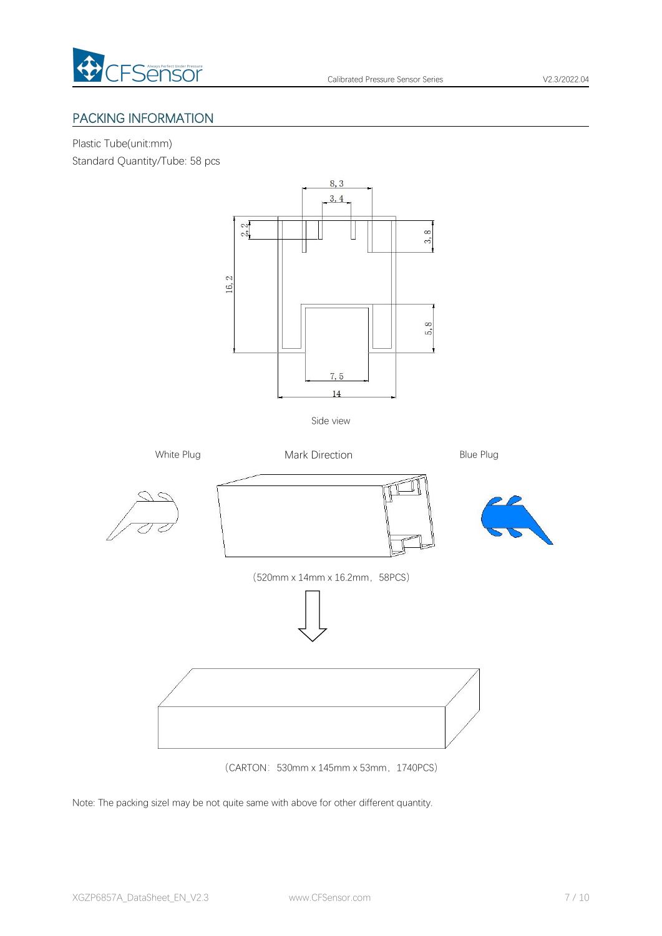

## PACKING INFORMATION

Plastic Tube(unit:mm)

Standard Quantity/Tube: 58 pcs



(520mm x 14mm x 16.2mm, 58PCS)



(CARTON:530mm x 145mm x 53mm,1740PCS)

Note: The packing sizel may be not quite same with above for other different quantity.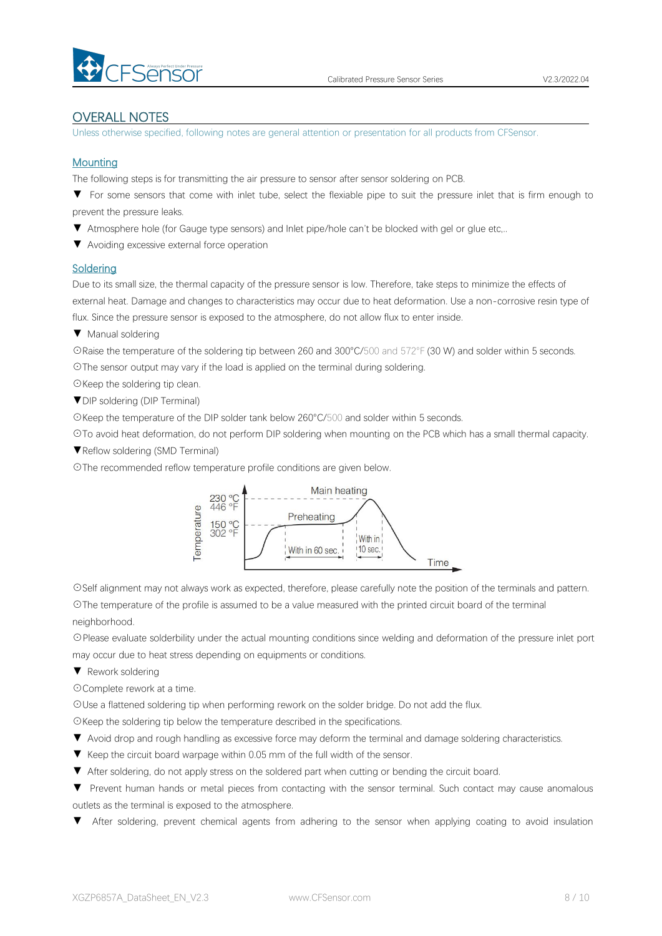

## OVERALL NOTES

Unless otherwise specified, following notes are general attention or presentation for all products from CFSensor.

### **Mounting**

The following steps is for transmitting the air pressure to sensor after sensor soldering on PCB.

▼ For some sensors that come with inlet tube, select the flexiable pipe to suit the pressure inlet that is firm enough to prevent the pressure leaks.

- ▼ Atmosphere hole (for Gauge type sensors) and Inlet pipe/hole can't be blocked with gel or glue etc,..
- ▼ Avoiding excessive external force operation

### **Soldering**

Due to its small size, the thermal capacity of the pressure sensor is low. Therefore, take steps to minimize the effects of external heat. Damage and changes to characteristics may occur due to heat deformation. Use a non-corrosive resin type of flux. Since the pressure sensor is exposed to the atmosphere, do not allow flux to enter inside.

▼ Manual soldering

☉Raise the temperature of the soldering tip between 260 and 300°C/500 and 572°F (30 W) and solder within 5 seconds. ☉The sensor output may vary if the load is applied on the terminal during soldering.

☉Keep the soldering tip clean.

▼DIP soldering (DIP Terminal)

☉Keep the temperature of the DIP solder tank below 260°C/500 and solder within 5 seconds.

☉To avoid heat deformation, do not perform DIP soldering when mounting on the PCB which has a small thermal capacity.

▼Reflow soldering (SMD Terminal)

☉The recommended reflow temperature profile conditions are given below.



☉Self alignment may not always work as expected, therefore, please carefully note the position of the terminals and pattern.

☉The temperature of the profile is assumed to be a value measured with the printed circuit board of the terminal neighborhood.

☉Please evaluate solderbility under the actual mounting conditions since welding and deformation of the pressure inlet port may occur due to heat stress depending on equipments or conditions.

▼ Rework soldering

☉Complete rework at a time.

☉Use a flattened soldering tip when performing rework on the solder bridge. Do not add the flux.

☉Keep the soldering tip below the temperature described in the specifications.

- ▼ Avoid drop and rough handling as excessive force may deform the terminal and damage soldering characteristics.
- 
- ▼ Keep the circuit board warpage within 0.05 mm of the full width of the sensor.<br>▼ After soldering, do not apply stress on the soldered part when cutting or bending the circuit board.

▼ Prevent human hands or metal pieces from contacting with the sensor terminal. Such contact may cause anomalous outlets as the terminal is exposed to the atmosphere.

After soldering, prevent chemical agents from adhering to the sensor when applying coating to avoid insulation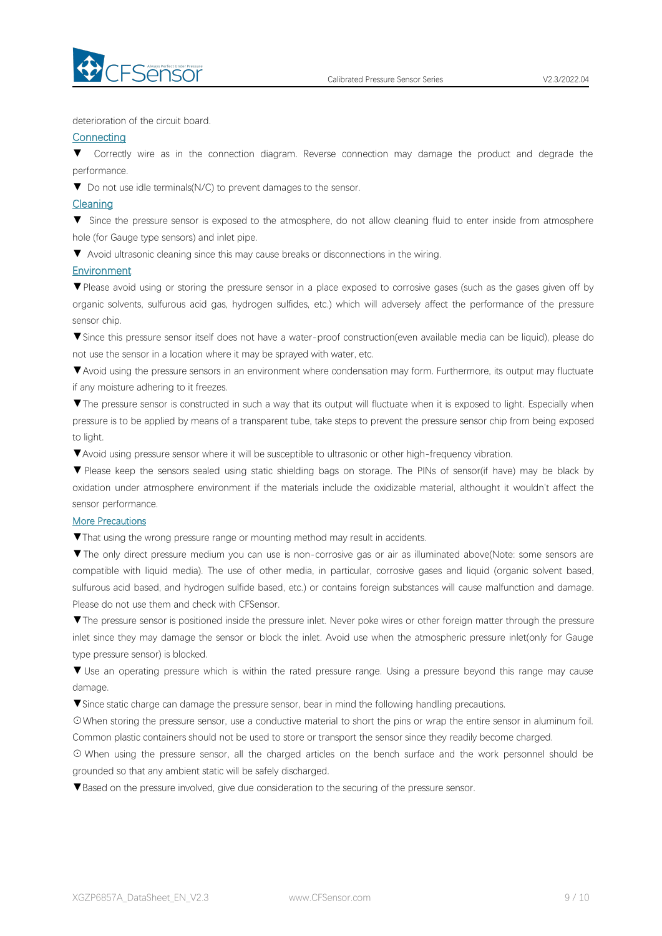

deterioration of the circuit board.

#### **Connecting**

▼ Correctly wire as in the connection diagram. Reverse connection may damage the productand degrade the performance.

▼ Do not use idle terminals(N/C) to prevent damages to the sensor.

#### Cleaning

▼ Since the pressure sensor is exposed to the atmosphere, do not allow cleaning fluid to enter inside from atmosphere hole (for Gauge type sensors) and inlet pipe.

▼ Avoid ultrasonic cleaning since this may cause breaks or disconnections in the wiring.

### Environment

▼Please avoid using or storing the pressure sensor in a place exposed to corrosive gases (such as the gases given off by organic solvents, sulfurous acid gas, hydrogen sulfides, etc.) which will adversely affect the performance of the pressure sensor chip.

▼Since this pressure sensor itself does not have a water-proof construction(even available media can be liquid), please do not use the sensor in alocation where it may be sprayed with water, etc.

▼Avoid using the pressure sensors in an environment where condensation may form. Furthermore, its output may fluctuate if any moisture adhering to it freezes.

▼The pressure sensor is constructed in such a way that its output will fluctuate when it is exposed to light. Especially when pressure is to be applied by means of a transparent tube, take steps to prevent the pressure sensor chip from being exposed to light.

▼Avoid using pressure sensor where it will be susceptible to ultrasonic or other high-frequency vibration.

▼ Please keep the sensors sealed using static shielding bags on storage. The PINs of sensor(if have) may be black by oxidation under atmosphere environment if the materials include the oxidizable material, althought it wouldn't affect the sensor performance.

#### More Precautions

▼That using the wrong pressure range or mounting method mayresult in accidents.

▼The only direct pressure medium you can use is non-corrosive gas or air as illuminated above(Note: some sensors are compatible with liquid media). The use of other media, in particular, corrosive gases and liquid (organic solvent based, sulfurous acid based, and hydrogen sulfide based, etc.) or contains foreign substances will cause malfunction and damage.<br>Please do not use them and check with CFSensor.

▼The pressure sensor is positioned inside the pressure inlet. Never poke wires orother foreign matter through the pressure inlet since they may damage the sensor or block the inlet. Avoid use when the atmospheric pressure inlet(only for Gauge type pressure sensor) is blocked.

▼ Use an operating pressure which is within the rated pressure range. Using a pressure beyond this range may cause damage.

▼Since static charge can damage the pressure sensor, bear in mind the following handling precautions.

☉When storing the pressure sensor, use a conductive material to short the pins or wrap the entire sensor in aluminum foil. Common plastic containers should not be used to store or transport the sensor since they readily become charged.

⊙ When using the pressure sensor, all the charged articles on the bench surface and the work personnel should be grounded so that any ambient static will be safely discharged.

▼Based on the pressure involved, give due consideration to the securing of the pressure sensor.